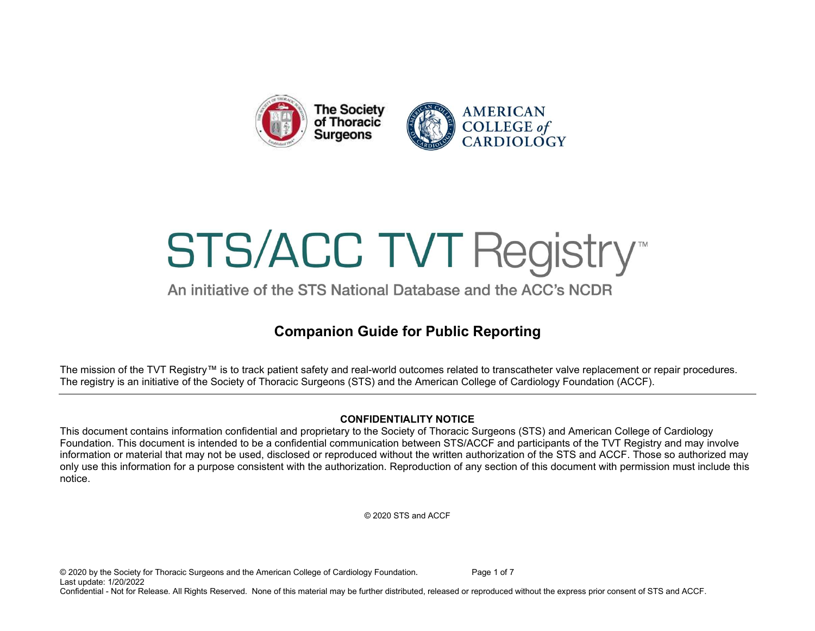

# **STS/ACC TVT Registry™**

An initiative of the STS National Database and the ACC's NCDR

# Companion Guide for Public Reporting

The mission of the TVT Registry™ is to track patient safety and real-world outcomes related to transcatheter valve replacement or repair procedures. The registry is an initiative of the Society of Thoracic Surgeons (STS) and the American College of Cardiology Foundation (ACCF).

#### CONFIDENTIALITY NOTICE

This document contains information confidential and proprietary to the Society of Thoracic Surgeons (STS) and American College of Cardiology Foundation. This document is intended to be a confidential communication between STS/ACCF and participants of the TVT Registry and may involve information or material that may not be used, disclosed or reproduced without the written authorization of the STS and ACCF. Those so authorized may only use this information for a purpose consistent with the authorization. Reproduction of any section of this document with permission must include this notice.

© 2020 STS and ACCF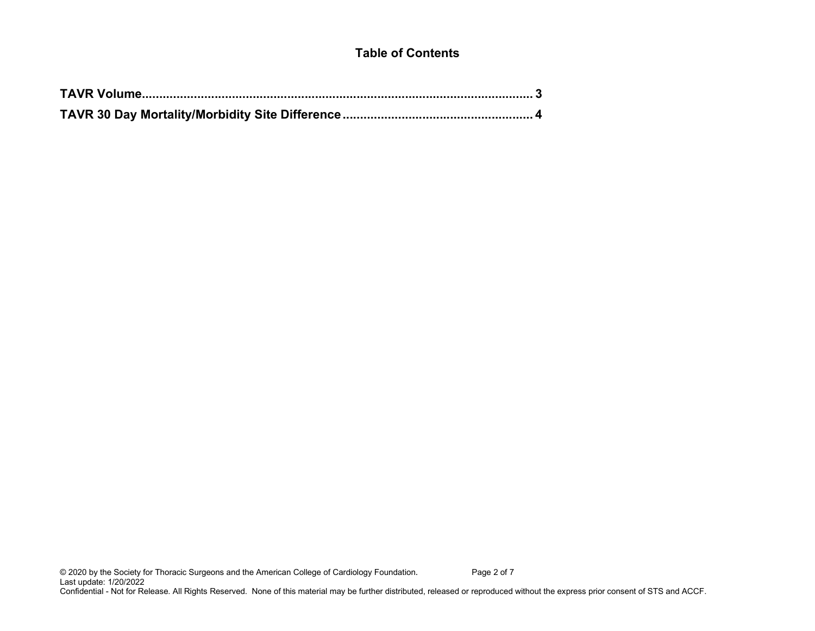#### Table of Contents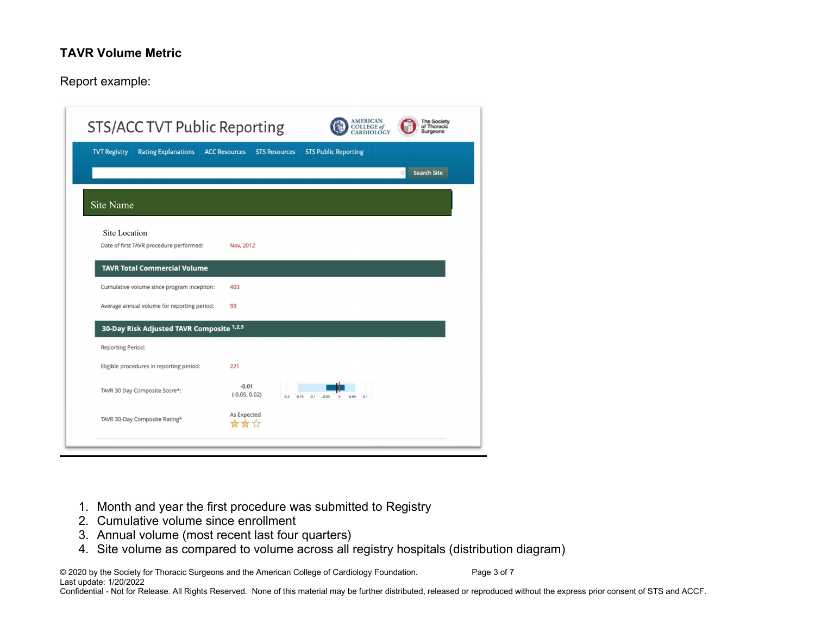#### TAVR Volume Metric

#### Report example:

| STS/ACC TVT Public Reporting                             |                                              | <b>AMERICAN</b><br><b>COLLEGE</b> of<br><b>DIOLOG</b> | <b>The Society</b><br>of Thoracic<br><b>Surgeons</b> |
|----------------------------------------------------------|----------------------------------------------|-------------------------------------------------------|------------------------------------------------------|
| <b>Rating Explanations</b><br><b>TVT Registry</b>        | <b>ACC Resources</b><br><b>STS Resources</b> | <b>STS Public Reporting</b>                           |                                                      |
|                                                          |                                              |                                                       | <b>Search Site</b><br>$\circ$                        |
| Site Name                                                |                                              |                                                       |                                                      |
| Site Location<br>Date of first TAVR procedure performed: | Nov, 2012                                    |                                                       |                                                      |
| <b>TAVR Total Commercial Volume</b>                      |                                              |                                                       |                                                      |
| Cumulative volume since program inception:               | 403                                          |                                                       |                                                      |
| Average annual volume for reporting period:              | 93                                           |                                                       |                                                      |
| 30-Day Risk Adjusted TAVR Composite 1,2,3                |                                              |                                                       |                                                      |
| <b>Reporting Period:</b>                                 |                                              |                                                       |                                                      |
| Eligible procedures in reporting period:                 | 221                                          |                                                       |                                                      |
| TAVR 30 Day Composite Score*:                            | $-0.01$<br>$(-0.05, 0.02)$<br>$-0.2$         | $-0.15$<br>$-0.1$<br>$-0.05$<br>0.05<br>0.1           |                                                      |
| TAVR 30-Day Composite Rating*                            | As Expected<br>***                           |                                                       |                                                      |
|                                                          |                                              |                                                       |                                                      |

- 1. Month and year the first procedure was submitted to Registry
- 2. Cumulative volume since enrollment
- 3. Annual volume (most recent last four quarters)
- 4. Site volume as compared to volume across all registry hospitals (distribution diagram)

© 2020 by the Society for Thoracic Surgeons and the American College of Cardiology Foundation. Page 3 of 7 Last update: 1/20/2022

Confidential - Not for Release. All Rights Reserved. None of this material may be further distributed, released or reproduced without the express prior consent of STS and ACCF.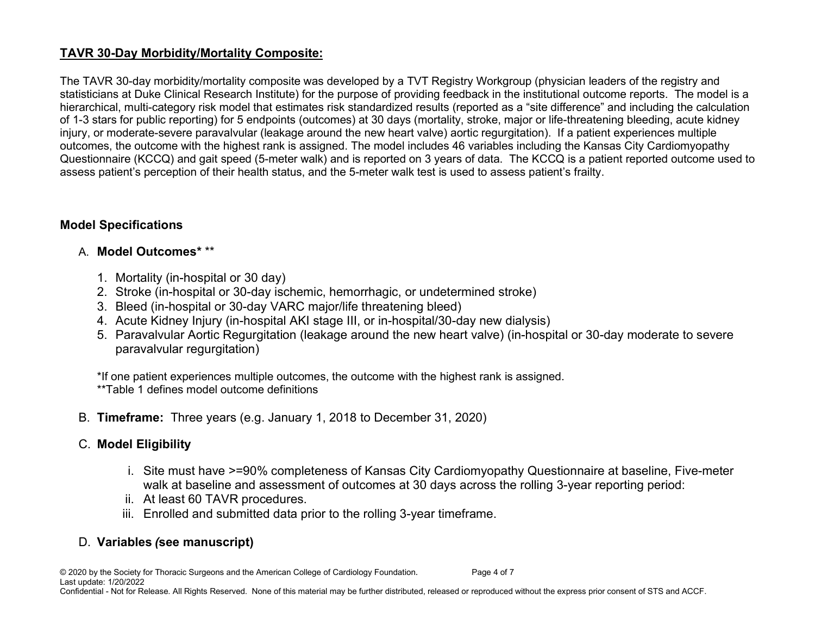### TAVR 30-Day Morbidity/Mortality Composite:

The TAVR 30-day morbidity/mortality composite was developed by a TVT Registry Workgroup (physician leaders of the registry and statisticians at Duke Clinical Research Institute) for the purpose of providing feedback in the institutional outcome reports. The model is a hierarchical, multi-category risk model that estimates risk standardized results (reported as a "site difference" and including the calculation of 1-3 stars for public reporting) for 5 endpoints (outcomes) at 30 days (mortality, stroke, major or life-threatening bleeding, acute kidney injury, or moderate-severe paravalvular (leakage around the new heart valve) aortic regurgitation). If a patient experiences multiple outcomes, the outcome with the highest rank is assigned. The model includes 46 variables including the Kansas City Cardiomyopathy Questionnaire (KCCQ) and gait speed (5-meter walk) and is reported on 3 years of data. The KCCQ is a patient reported outcome used to assess patient's perception of their health status, and the 5-meter walk test is used to assess patient's frailty.

#### Model Specifications

#### A. Model Outcomes\* \*\*

- 1. Mortality (in-hospital or 30 day)
- 2. Stroke (in-hospital or 30-day ischemic, hemorrhagic, or undetermined stroke)
- 3. Bleed (in-hospital or 30-day VARC major/life threatening bleed)
- 4. Acute Kidney Injury (in-hospital AKI stage III, or in-hospital/30-day new dialysis)
- 5. Paravalvular Aortic Regurgitation (leakage around the new heart valve) (in-hospital or 30-day moderate to severe paravalvular regurgitation)

\*If one patient experiences multiple outcomes, the outcome with the highest rank is assigned. \*\*Table 1 defines model outcome definitions

B. Timeframe: Three years (e.g. January 1, 2018 to December 31, 2020)

# C. Model Eligibility

- i. Site must have >=90% completeness of Kansas City Cardiomyopathy Questionnaire at baseline, Five-meter walk at baseline and assessment of outcomes at 30 days across the rolling 3-year reporting period:
- ii. At least 60 TAVR procedures.
- iii. Enrolled and submitted data prior to the rolling 3-year timeframe.

# D. Variables (see manuscript)

© 2020 by the Society for Thoracic Surgeons and the American College of Cardiology Foundation. Page 4 of 7 Last update: 1/20/2022

Confidential - Not for Release. All Rights Reserved. None of this material may be further distributed, released or reproduced without the express prior consent of STS and ACCF.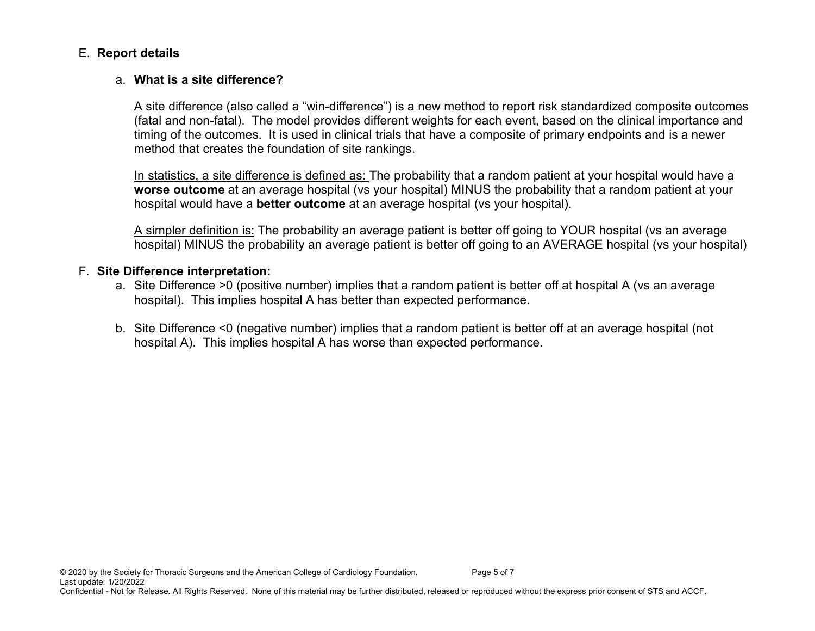#### E. Report details

#### a. What is a site difference?

A site difference (also called a "win-difference") is a new method to report risk standardized composite outcomes (fatal and non-fatal). The model provides different weights for each event, based on the clinical importance and timing of the outcomes. It is used in clinical trials that have a composite of primary endpoints and is a newer method that creates the foundation of site rankings.

In statistics, a site difference is defined as: The probability that a random patient at your hospital would have a worse outcome at an average hospital (vs your hospital) MINUS the probability that a random patient at your hospital would have a **better outcome** at an average hospital (vs your hospital).

A simpler definition is: The probability an average patient is better off going to YOUR hospital (vs an average hospital) MINUS the probability an average patient is better off going to an AVERAGE hospital (vs your hospital)

#### F. Site Difference interpretation:

- a. Site Difference >0 (positive number) implies that a random patient is better off at hospital A (vs an average hospital). This implies hospital A has better than expected performance.
- b. Site Difference <0 (negative number) implies that a random patient is better off at an average hospital (not hospital A). This implies hospital A has worse than expected performance.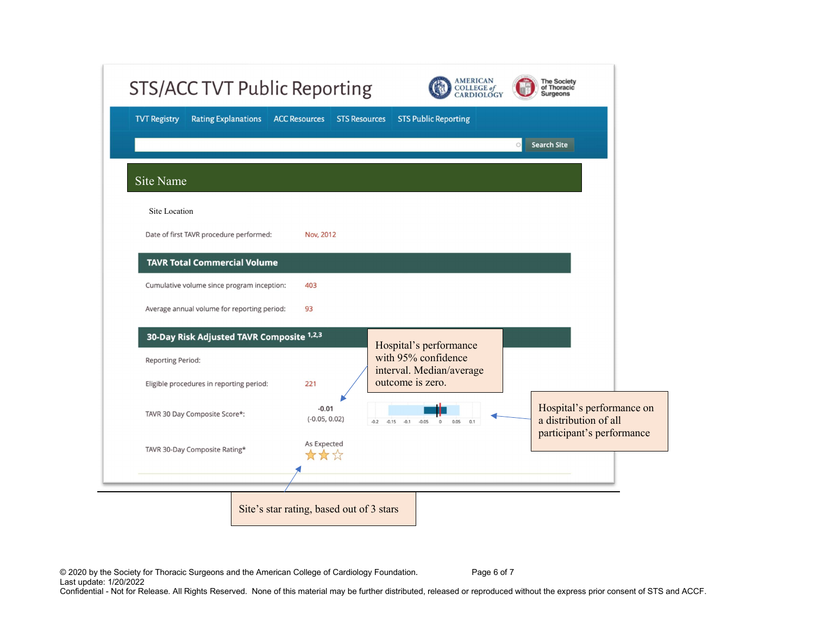| <b>Rating Explanations</b><br><b>TVT Registry</b> | <b>ACC Resources</b><br><b>STS Resources</b> | <b>STS Public Reporting</b>                                |                                                                                 |  |
|---------------------------------------------------|----------------------------------------------|------------------------------------------------------------|---------------------------------------------------------------------------------|--|
|                                                   |                                              |                                                            | <b>Search Site</b><br>$\bigcirc$                                                |  |
| Site Name                                         |                                              |                                                            |                                                                                 |  |
| Site Location                                     |                                              |                                                            |                                                                                 |  |
| Date of first TAVR procedure performed:           | Nov, 2012                                    |                                                            |                                                                                 |  |
| <b>TAVR Total Commercial Volume</b>               |                                              |                                                            |                                                                                 |  |
| Cumulative volume since program inception:        | 403                                          |                                                            |                                                                                 |  |
| Average annual volume for reporting period:       | 93                                           |                                                            |                                                                                 |  |
| 30-Day Risk Adjusted TAVR Composite 1,2,3         |                                              | Hospital's performance                                     |                                                                                 |  |
| <b>Reporting Period:</b>                          |                                              | with 95% confidence<br>interval. Median/average            |                                                                                 |  |
| Eligible procedures in reporting period:          | 221                                          | outcome is zero.                                           |                                                                                 |  |
| TAVR 30 Day Composite Score*:                     | $-0.01$<br>$(-0.05, 0.02)$                   | $-0.2$ $-0.15$ $-0.1$ $-0.05$<br>0.05<br>$^{\circ}$<br>0.1 | Hospital's performance on<br>a distribution of all<br>participant's performance |  |
| TAVR 30-Day Composite Rating*                     | As Expected<br>女女公                           |                                                            |                                                                                 |  |
|                                                   |                                              |                                                            |                                                                                 |  |

© 2020 by the Society for Thoracic Surgeons and the American College of Cardiology Foundation. Page 6 of 7 Last update: 1/20/2022

Confidential - Not for Release. All Rights Reserved. None of this material may be further distributed, released or reproduced without the express prior consent of STS and ACCF.